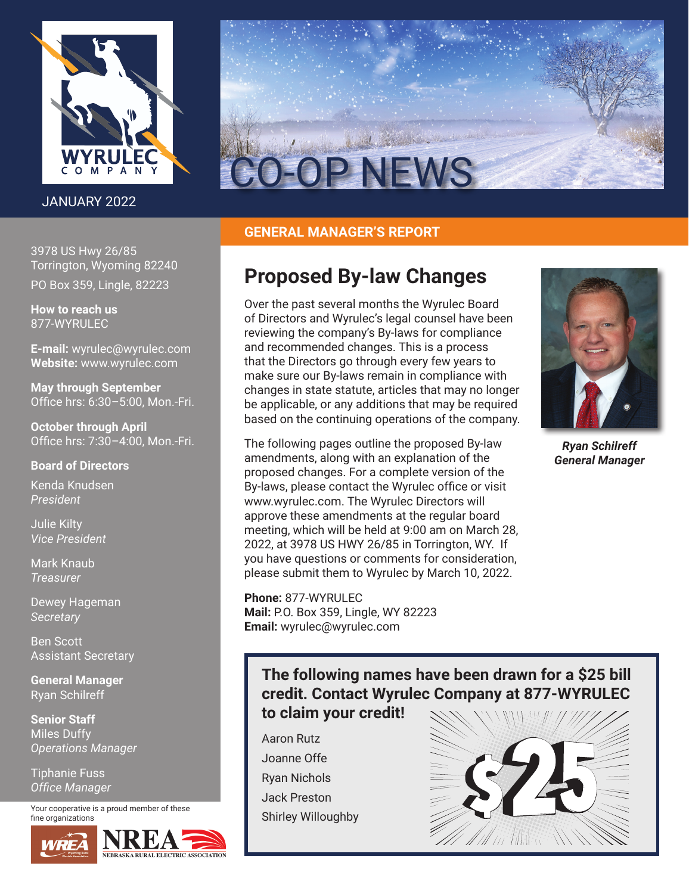

# JANUARY 2022

3978 US Hwy 26/85 Torrington, Wyoming 82240 PO Box 359, Lingle, 82223

**How to reach us** 877-WYRULEC

**E-mail:** wyrulec@wyrulec.com **Website:** www.wyrulec.com

**May through September** Office hrs: 6:30–5:00, Mon.-Fri.

**October through April** Office hrs: 7:30–4:00, Mon.-Fri.

### **Board of Directors**

Kenda Knudsen *President*

Julie Kilty *Vice President*

Mark Knaub *Treasurer*

Dewey Hageman *Secretary*

Ben Scott Assistant Secretary

**General Manager** Ryan Schilreff

**Senior Staff** Miles Duffy *Operations Manager*

Tiphanie Fuss *Office Manager*

Your cooperative is a proud member of these fine organizations





# **GENERAL MANAGER'S REPORT**

# **Proposed By-law Changes**

Over the past several months the Wyrulec Board of Directors and Wyrulec's legal counsel have been reviewing the company's By-laws for compliance and recommended changes. This is a process that the Directors go through every few years to make sure our By-laws remain in compliance with changes in state statute, articles that may no longer be applicable, or any additions that may be required based on the continuing operations of the company.

The following pages outline the proposed By-law amendments, along with an explanation of the proposed changes. For a complete version of the By-laws, please contact the Wyrulec office or visit www.wyrulec.com. The Wyrulec Directors will approve these amendments at the regular board meeting, which will be held at 9:00 am on March 28, 2022, at 3978 US HWY 26/85 in Torrington, WY. If you have questions or comments for consideration, please submit them to Wyrulec by March 10, 2022.

**Phone:** 877-WYRULEC **Mail:** P.O. Box 359, Lingle, WY 82223 **Email:** wyrulec@wyrulec.com



*Ryan Schilreff General Manager*

# **The following names have been drawn for a \$25 bill credit. Contact Wyrulec Company at 877-WYRULEC to claim your credit!**

Aaron Rutz Joanne Offe Ryan Nichols Jack Preston Shirley Willoughby

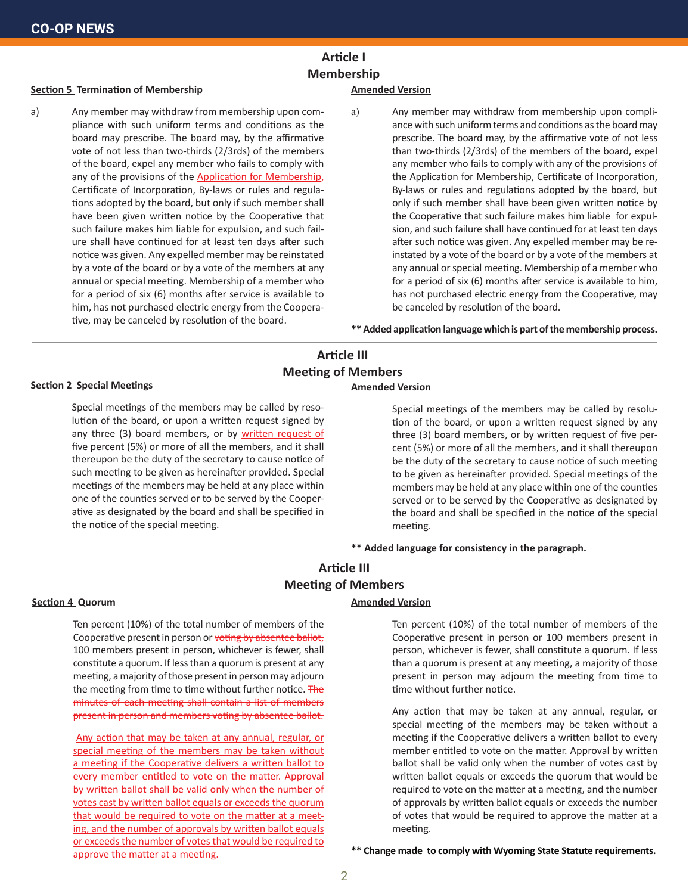# **Article I Membership**

#### **Section 5 Termination of Membership**

a) Any member may withdraw from membership upon compliance with such uniform terms and conditions as the board may prescribe. The board may, by the affirmative vote of not less than two-thirds (2/3rds) of the members of the board, expel any member who fails to comply with any of the provisions of the **Application for Membership**, Certificate of Incorporation, By-laws or rules and regulations adopted by the board, but only if such member shall have been given written notice by the Cooperative that such failure makes him liable for expulsion, and such failure shall have continued for at least ten days after such notice was given. Any expelled member may be reinstated by a vote of the board or by a vote of the members at any annual or special meeting. Membership of a member who for a period of six (6) months after service is available to him, has not purchased electric energy from the Cooperative, may be canceled by resolution of the board.

#### **Amended Version**

a) Any member may withdraw from membership upon compliance with such uniform terms and conditions as the board may prescribe. The board may, by the affirmative vote of not less than two-thirds (2/3rds) of the members of the board, expel any member who fails to comply with any of the provisions of the Application for Membership, Certificate of Incorporation, By-laws or rules and regulations adopted by the board, but only if such member shall have been given written notice by the Cooperative that such failure makes him liable for expulsion, and such failure shall have continued for at least ten days after such notice was given. Any expelled member may be reinstated by a vote of the board or by a vote of the members at any annual or special meeting. Membership of a member who for a period of six (6) months after service is available to him, has not purchased electric energy from the Cooperative, may be canceled by resolution of the board.

**\*\* Added application language which is part of the membership process.**

### **Article III Meeting of Members Amended Version**

#### **Section 2 Special Meetings**

Special meetings of the members may be called by resolution of the board, or upon a written request signed by any three (3) board members, or by written request of five percent (5%) or more of all the members, and it shall thereupon be the duty of the secretary to cause notice of such meeting to be given as hereinafter provided. Special meetings of the members may be held at any place within one of the counties served or to be served by the Cooperative as designated by the board and shall be specified in the notice of the special meeting.

Special meetings of the members may be called by resolution of the board, or upon a written request signed by any three (3) board members, or by written request of five percent (5%) or more of all the members, and it shall thereupon be the duty of the secretary to cause notice of such meeting to be given as hereinafter provided. Special meetings of the members may be held at any place within one of the counties served or to be served by the Cooperative as designated by the board and shall be specified in the notice of the special meeting.

**\*\* Added language for consistency in the paragraph.**

# **Article III Meeting of Members**

#### **Section 4 Quorum**

Ten percent (10%) of the total number of members of the Cooperative present in person or voting by absentee ballot, 100 members present in person, whichever is fewer, shall constitute a quorum. If less than a quorum is present at any meeting, a majority of those present in person may adjourn the meeting from time to time without further notice. The minutes of each meeting shall contain a list of members present in person and members voting by absentee ballot.

Any action that may be taken at any annual, regular, or special meeting of the members may be taken without a meeting if the Cooperative delivers a written ballot to every member entitled to vote on the matter. Approval by written ballot shall be valid only when the number of votes cast by written ballot equals or exceeds the quorum that would be required to vote on the matter at a meeting, and the number of approvals by written ballot equals or exceeds the number of votes that would be required to approve the matter at a meeting.

#### **Amended Version**

Ten percent (10%) of the total number of members of the Cooperative present in person or 100 members present in person, whichever is fewer, shall constitute a quorum. If less than a quorum is present at any meeting, a majority of those present in person may adjourn the meeting from time to time without further notice.

Any action that may be taken at any annual, regular, or special meeting of the members may be taken without a meeting if the Cooperative delivers a written ballot to every member entitled to vote on the matter. Approval by written ballot shall be valid only when the number of votes cast by written ballot equals or exceeds the quorum that would be required to vote on the matter at a meeting, and the number of approvals by written ballot equals or exceeds the number of votes that would be required to approve the matter at a meeting.

**\*\* Change made to comply with Wyoming State Statute requirements.**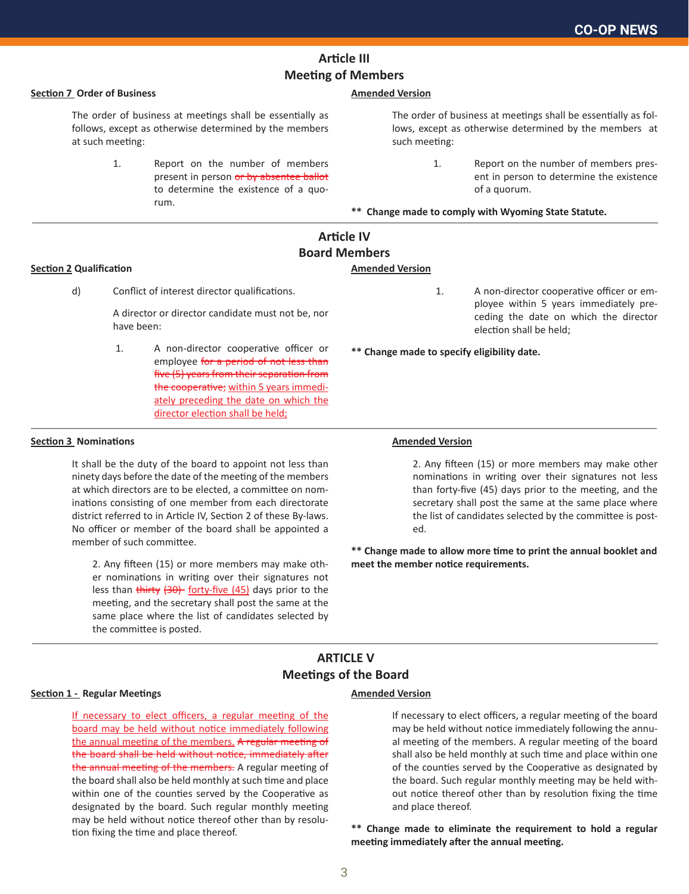# **Article III Meeting of Members**

#### **Section 7 Order of Business**

The order of business at meetings shall be essentially as follows, except as otherwise determined by the members at such meeting:

> 1. Report on the number of members present in person or by absentee ballot to determine the existence of a quorum.

#### **Amended Version**

The order of business at meetings shall be essentially as follows, except as otherwise determined by the members at such meeting:

> 1. Report on the number of members present in person to determine the existence of a quorum.

> 1. A non-director cooperative officer or em-

election shall be held;

ployee within 5 years immediately preceding the date on which the director

**\*\* Change made to comply with Wyoming State Statute.**

## **Article IV Board Members**

#### **Section 2 Qualification**

- **Amended Version**
- d) Conflict of interest director qualifications.

A director or director candidate must not be, nor have been:

 1. A non-director cooperative officer or employee for a period of not less than five (5) years from their separation from the cooperative; within 5 years immediately preceding the date on which the director election shall be held;

#### **Section 3 Nominations**

It shall be the duty of the board to appoint not less than ninety days before the date of the meeting of the members at which directors are to be elected, a committee on nominations consisting of one member from each directorate district referred to in Article IV, Section 2 of these By-laws. No officer or member of the board shall be appointed a member of such committee.

2. Any fifteen (15) or more members may make other nominations in writing over their signatures not less than thirty (30) forty-five (45) days prior to the meeting, and the secretary shall post the same at the same place where the list of candidates selected by the committee is posted.

#### **Amended Version**

**\*\* Change made to specify eligibility date.**

2. Any fifteen (15) or more members may make other nominations in writing over their signatures not less than forty-five (45) days prior to the meeting, and the secretary shall post the same at the same place where the list of candidates selected by the committee is posted.

**\*\* Change made to allow more time to print the annual booklet and meet the member notice requirements.**

## **ARTICLE V Meetings of the Board**

#### **Section 1 - Regular Meetings**

If necessary to elect officers, a regular meeting of the board may be held without notice immediately following the annual meeting of the members. A regular meeting of the board shall be held without notice, immediately after the annual meeting of the members. A regular meeting of the board shall also be held monthly at such time and place within one of the counties served by the Cooperative as designated by the board. Such regular monthly meeting may be held without notice thereof other than by resolution fixing the time and place thereof.

#### **Amended Version**

If necessary to elect officers, a regular meeting of the board may be held without notice immediately following the annual meeting of the members. A regular meeting of the board shall also be held monthly at such time and place within one of the counties served by the Cooperative as designated by the board. Such regular monthly meeting may be held without notice thereof other than by resolution fixing the time and place thereof.

**\*\* Change made to eliminate the requirement to hold a regular meeting immediately after the annual meeting.**